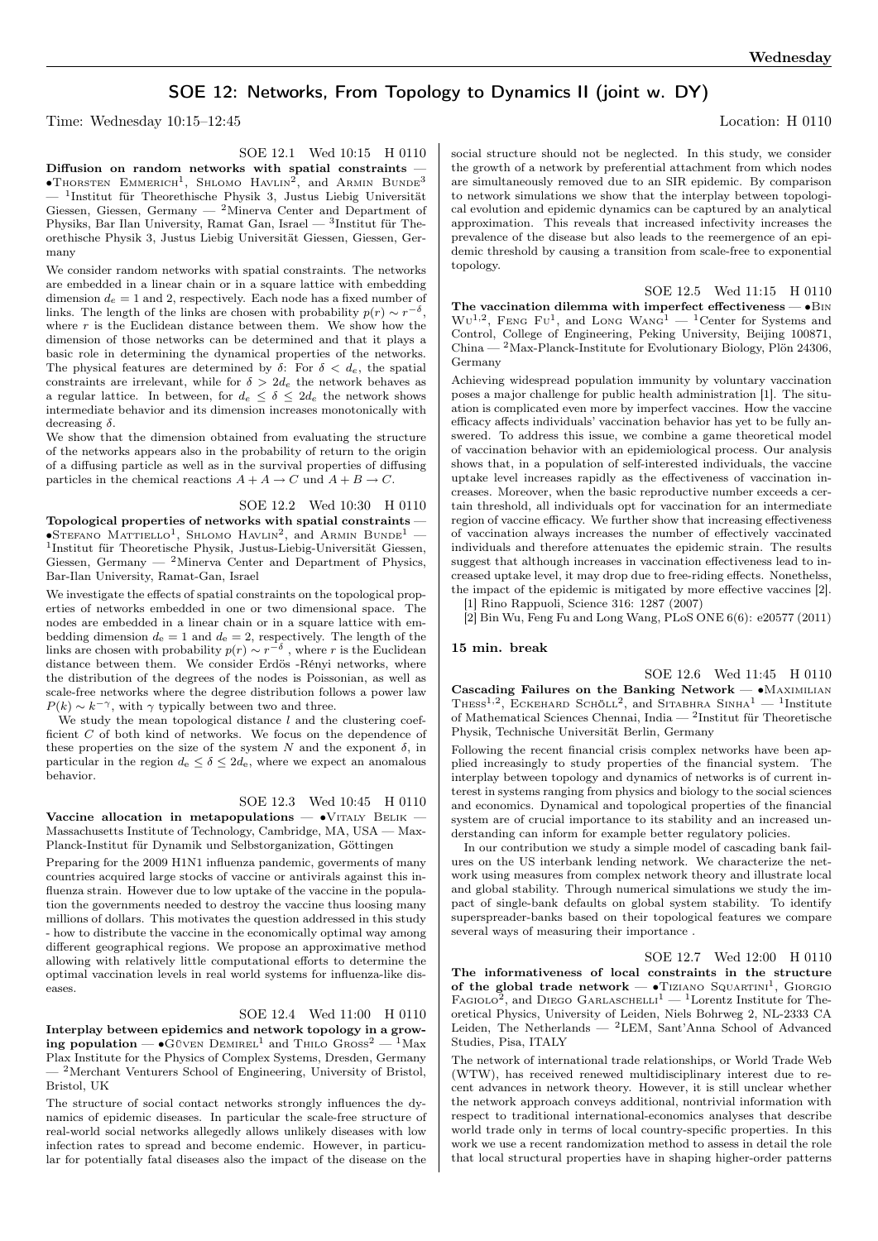# SOE 12: Networks, From Topology to Dynamics II (joint w. DY)

Time: Wednesday 10:15–12:45 Location: H 0110

SOE 12.1 Wed 10:15 H 0110

Diffusion on random networks with spatial constraints — •Thorsten Emmerich<sup>1</sup>, Shlomo Havlin<sup>2</sup>, and Armin Bunde<sup>3</sup> — <sup>1</sup> Institut für Theorethische Physik 3, Justus Liebig Universität Giessen, Giessen, Germany — <sup>2</sup>Minerva Center and Department of Physiks, Bar Ilan University, Ramat Gan, Israel — <sup>3</sup>Institut für Theorethische Physik 3, Justus Liebig Universität Giessen, Giessen, Germany

We consider random networks with spatial constraints. The networks are embedded in a linear chain or in a square lattice with embedding dimension  $d_e = 1$  and 2, respectively. Each node has a fixed number of links. The length of the links are chosen with probability  $p(r) \sim r^{-\delta}$ , where  $r$  is the Euclidean distance between them. We show how the dimension of those networks can be determined and that it plays a basic role in determining the dynamical properties of the networks. The physical features are determined by  $\delta$ : For  $\delta < d_e$ , the spatial constraints are irrelevant, while for  $\delta > 2d_e$  the network behaves as a regular lattice. In between, for  $d_e \leq \delta \leq 2d_e$  the network shows intermediate behavior and its dimension increases monotonically with decreasing  $\delta$ .

We show that the dimension obtained from evaluating the structure of the networks appears also in the probability of return to the origin of a diffusing particle as well as in the survival properties of diffusing particles in the chemical reactions  $A + A \rightarrow C$  und  $A + B \rightarrow C$ .

SOE 12.2 Wed 10:30 H 0110

Topological properties of networks with spatial constraints —  $\bullet$ Stefano Mattiello<sup>1</sup>, Shlomo Havlin<sup>2</sup>, and Armin Bunde<sup>1</sup> – 1 Institut für Theoretische Physik, Justus-Liebig-Universität Giessen, Giessen, Germany  $-$  <sup>2</sup>Minerva Center and Department of Physics, Bar-Ilan University, Ramat-Gan, Israel

We investigate the effects of spatial constraints on the topological properties of networks embedded in one or two dimensional space. The nodes are embedded in a linear chain or in a square lattice with embedding dimension  $d_e = 1$  and  $d_e = 2$ , respectively. The length of the links are chosen with probability  $p(r) \sim r^{-\delta}$ , where r is the Euclidean distance between them. We consider Erdös -Rényi networks, where the distribution of the degrees of the nodes is Poissonian, as well as scale-free networks where the degree distribution follows a power law  $P(k) \sim k^{-\gamma}$ , with  $\gamma$  typically between two and three.

We study the mean topological distance  $l$  and the clustering coefficient  $C$  of both kind of networks. We focus on the dependence of these properties on the size of the system N and the exponent  $\delta$ , in particular in the region  $d_e \leq \delta \leq 2d_e$ , where we expect an anomalous behavior.

### SOE 12.3 Wed 10:45 H 0110

Vaccine allocation in metapopulations —  $\bullet$ VITALY BELIK — Massachusetts Institute of Technology, Cambridge, MA, USA — Max-Planck-Institut für Dynamik und Selbstorganization, Göttingen

Preparing for the 2009 H1N1 influenza pandemic, goverments of many countries acquired large stocks of vaccine or antivirals against this influenza strain. However due to low uptake of the vaccine in the population the governments needed to destroy the vaccine thus loosing many millions of dollars. This motivates the question addressed in this study - how to distribute the vaccine in the economically optimal way among different geographical regions. We propose an approximative method allowing with relatively little computational efforts to determine the optimal vaccination levels in real world systems for influenza-like diseases.

## SOE 12.4 Wed 11:00 H 0110

Interplay between epidemics and network topology in a growing population —  $\bullet$ Güven Demirel<sup>1</sup> and Thilo Gross<sup>2</sup> — <sup>1</sup>Max Plax Institute for the Physics of Complex Systems, Dresden, Germany <sup>- 2</sup>Merchant Venturers School of Engineering, University of Bristol, Bristol, UK

The structure of social contact networks strongly influences the dynamics of epidemic diseases. In particular the scale-free structure of real-world social networks allegedly allows unlikely diseases with low infection rates to spread and become endemic. However, in particular for potentially fatal diseases also the impact of the disease on the

social structure should not be neglected. In this study, we consider the growth of a network by preferential attachment from which nodes are simultaneously removed due to an SIR epidemic. By comparison to network simulations we show that the interplay between topological evolution and epidemic dynamics can be captured by an analytical approximation. This reveals that increased infectivity increases the prevalence of the disease but also leads to the reemergence of an epidemic threshold by causing a transition from scale-free to exponential topology.

SOE 12.5 Wed 11:15 H 0110 The vaccination dilemma with imperfect effectiveness —  $\bullet$ Bin  $WU^{1,2}$ , FENG FU<sup>1</sup>, and LONG WANG<sup>1</sup> — <sup>1</sup>Center for Systems and Control, College of Engineering, Peking University, Beijing 100871, China — <sup>2</sup>Max-Planck-Institute for Evolutionary Biology, Plön 24306, Germany

Achieving widespread population immunity by voluntary vaccination poses a major challenge for public health administration [1]. The situation is complicated even more by imperfect vaccines. How the vaccine efficacy affects individuals' vaccination behavior has yet to be fully answered. To address this issue, we combine a game theoretical model of vaccination behavior with an epidemiological process. Our analysis shows that, in a population of self-interested individuals, the vaccine uptake level increases rapidly as the effectiveness of vaccination increases. Moreover, when the basic reproductive number exceeds a certain threshold, all individuals opt for vaccination for an intermediate region of vaccine efficacy. We further show that increasing effectiveness of vaccination always increases the number of effectively vaccinated individuals and therefore attenuates the epidemic strain. The results suggest that although increases in vaccination effectiveness lead to increased uptake level, it may drop due to free-riding effects. Nonethelss, the impact of the epidemic is mitigated by more effective vaccines [2].

[1] Rino Rappuoli, Science 316: 1287 (2007)

[2] Bin Wu, Feng Fu and Long Wang, PLoS ONE 6(6): e20577 (2011)

### 15 min. break

SOE 12.6 Wed 11:45 H 0110 Cascading Failures on the Banking Network — •MAXIMILIAN THESS<sup>1,2</sup>, ECKEHARD SCHÖLL<sup>2</sup>, and SITABHRA SINHA<sup>1</sup> - <sup>1</sup>Institute of Mathematical Sciences Chennai, India — <sup>2</sup> Institut für Theoretische Physik, Technische Universität Berlin, Germany

Following the recent financial crisis complex networks have been applied increasingly to study properties of the financial system. The interplay between topology and dynamics of networks is of current interest in systems ranging from physics and biology to the social sciences and economics. Dynamical and topological properties of the financial system are of crucial importance to its stability and an increased understanding can inform for example better regulatory policies.

In our contribution we study a simple model of cascading bank failures on the US interbank lending network. We characterize the network using measures from complex network theory and illustrate local and global stability. Through numerical simulations we study the impact of single-bank defaults on global system stability. To identify superspreader-banks based on their topological features we compare several ways of measuring their importance .

SOE 12.7 Wed 12:00 H 0110

The informativeness of local constraints in the structure of the global trade network —  $\bullet$ Tiziano Squartini<sup>1</sup>, Giorgio FAGIOLO<sup>2</sup>, and DIEGO GARLASCHELLI<sup>1</sup> — <sup>1</sup>Lorentz Institute for Theoretical Physics, University of Leiden, Niels Bohrweg 2, NL-2333 CA Leiden, The Netherlands — <sup>2</sup>LEM, Sant'Anna School of Advanced Studies, Pisa, ITALY

The network of international trade relationships, or World Trade Web (WTW), has received renewed multidisciplinary interest due to recent advances in network theory. However, it is still unclear whether the network approach conveys additional, nontrivial information with respect to traditional international-economics analyses that describe world trade only in terms of local country-specific properties. In this work we use a recent randomization method to assess in detail the role that local structural properties have in shaping higher-order patterns